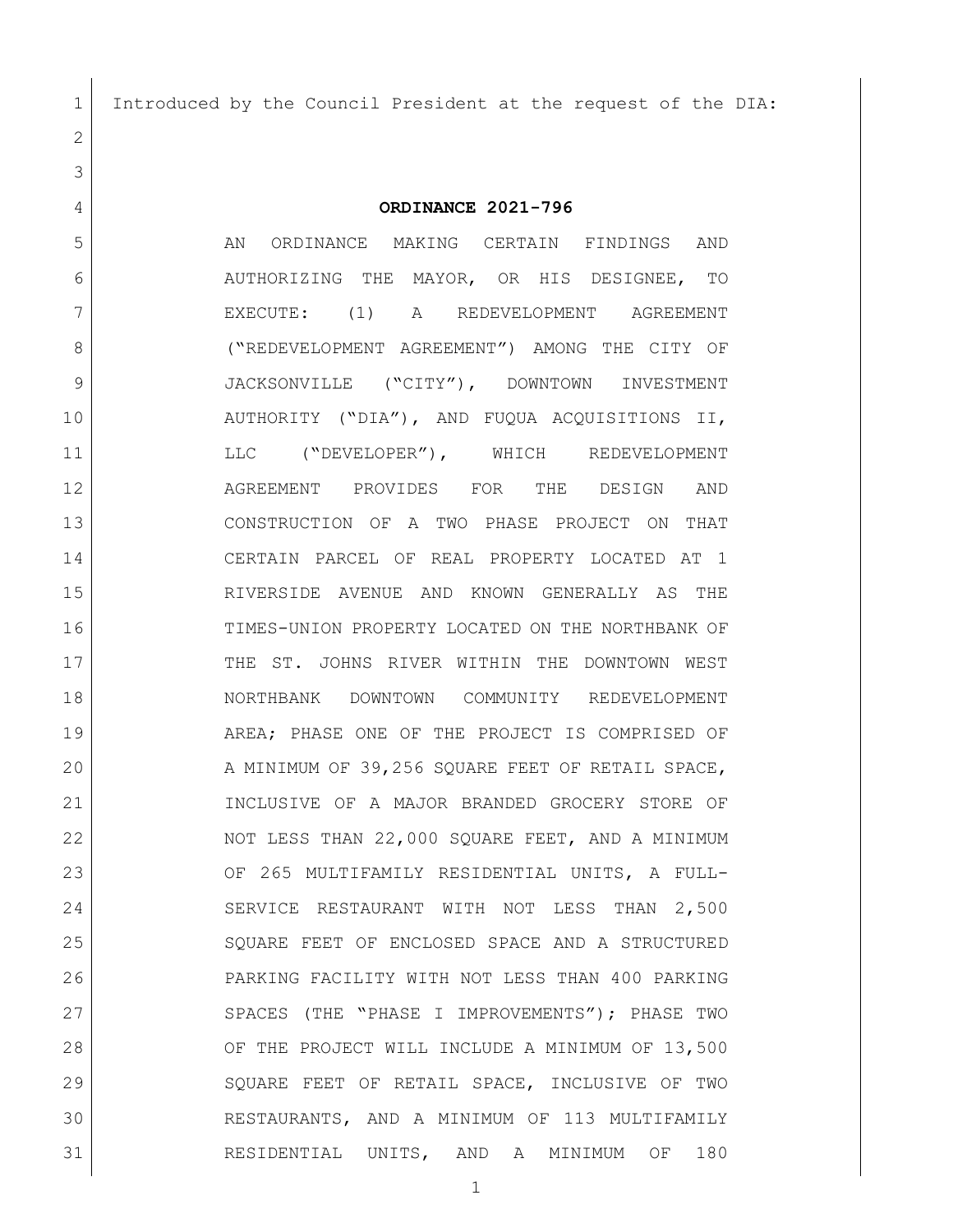Introduced by the Council President at the request of the DIA:

**ORDINANCE 2021-796**

 AN ORDINANCE MAKING CERTAIN FINDINGS AND AUTHORIZING THE MAYOR, OR HIS DESIGNEE, TO 7 | EXECUTE: (1) A REDEVELOPMENT AGREEMENT ("REDEVELOPMENT AGREEMENT") AMONG THE CITY OF 9 JACKSONVILLE ("CITY"), DOWNTOWN INVESTMENT AUTHORITY ("DIA"), AND FUQUA ACQUISITIONS II, 11 LLC ("DEVELOPER"), WHICH REDEVELOPMENT AGREEMENT PROVIDES FOR THE DESIGN AND CONSTRUCTION OF A TWO PHASE PROJECT ON THAT CERTAIN PARCEL OF REAL PROPERTY LOCATED AT 1 RIVERSIDE AVENUE AND KNOWN GENERALLY AS THE TIMES-UNION PROPERTY LOCATED ON THE NORTHBANK OF 17 THE ST. JOHNS RIVER WITHIN THE DOWNTOWN WEST NORTHBANK DOWNTOWN COMMUNITY REDEVELOPMENT AREA; PHASE ONE OF THE PROJECT IS COMPRISED OF 20 A MINIMUM OF 39,256 SQUARE FEET OF RETAIL SPACE, INCLUSIVE OF A MAJOR BRANDED GROCERY STORE OF 22 NOT LESS THAN 22,000 SQUARE FEET, AND A MINIMUM OF 265 MULTIFAMILY RESIDENTIAL UNITS, A FULL- SERVICE RESTAURANT WITH NOT LESS THAN 2,500 25 SQUARE FEET OF ENCLOSED SPACE AND A STRUCTURED PARKING FACILITY WITH NOT LESS THAN 400 PARKING 27 SPACES (THE "PHASE I IMPROVEMENTS"); PHASE TWO 28 OF THE PROJECT WILL INCLUDE A MINIMUM OF 13,500 SQUARE FEET OF RETAIL SPACE, INCLUSIVE OF TWO RESTAURANTS, AND A MINIMUM OF 113 MULTIFAMILY RESIDENTIAL UNITS, AND A MINIMUM OF 180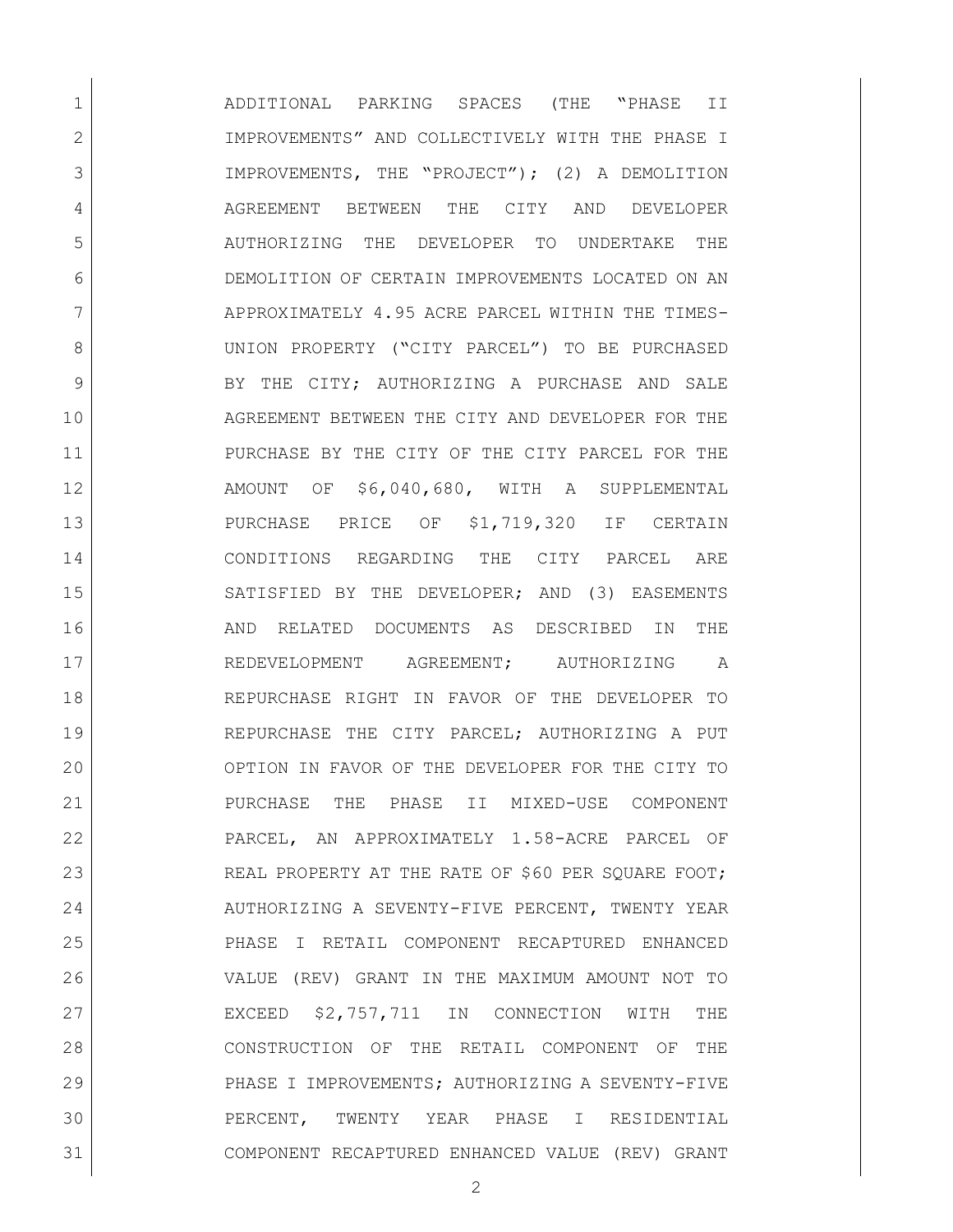ADDITIONAL PARKING SPACES (THE "PHASE II IMPROVEMENTS" AND COLLECTIVELY WITH THE PHASE I IMPROVEMENTS, THE "PROJECT"); (2) A DEMOLITION AGREEMENT BETWEEN THE CITY AND DEVELOPER AUTHORIZING THE DEVELOPER TO UNDERTAKE THE DEMOLITION OF CERTAIN IMPROVEMENTS LOCATED ON AN 7 APPROXIMATELY 4.95 ACRE PARCEL WITHIN THE TIMES- UNION PROPERTY ("CITY PARCEL") TO BE PURCHASED 9 BY THE CITY; AUTHORIZING A PURCHASE AND SALE AGREEMENT BETWEEN THE CITY AND DEVELOPER FOR THE PURCHASE BY THE CITY OF THE CITY PARCEL FOR THE AMOUNT OF \$6,040,680, WITH A SUPPLEMENTAL PURCHASE PRICE OF \$1,719,320 IF CERTAIN CONDITIONS REGARDING THE CITY PARCEL ARE SATISFIED BY THE DEVELOPER; AND (3) EASEMENTS **AND RELATED DOCUMENTS AS DESCRIBED IN THE**  REDEVELOPMENT AGREEMENT; AUTHORIZING A REPURCHASE RIGHT IN FAVOR OF THE DEVELOPER TO REPURCHASE THE CITY PARCEL; AUTHORIZING A PUT OPTION IN FAVOR OF THE DEVELOPER FOR THE CITY TO PURCHASE THE PHASE II MIXED-USE COMPONENT PARCEL, AN APPROXIMATELY 1.58-ACRE PARCEL OF 23 REAL PROPERTY AT THE RATE OF \$60 PER SQUARE FOOT; 24 AUTHORIZING A SEVENTY-FIVE PERCENT, TWENTY YEAR PHASE I RETAIL COMPONENT RECAPTURED ENHANCED VALUE (REV) GRANT IN THE MAXIMUM AMOUNT NOT TO EXCEED \$2,757,711 IN CONNECTION WITH THE CONSTRUCTION OF THE RETAIL COMPONENT OF THE PHASE I IMPROVEMENTS; AUTHORIZING A SEVENTY-FIVE PERCENT, TWENTY YEAR PHASE I RESIDENTIAL COMPONENT RECAPTURED ENHANCED VALUE (REV) GRANT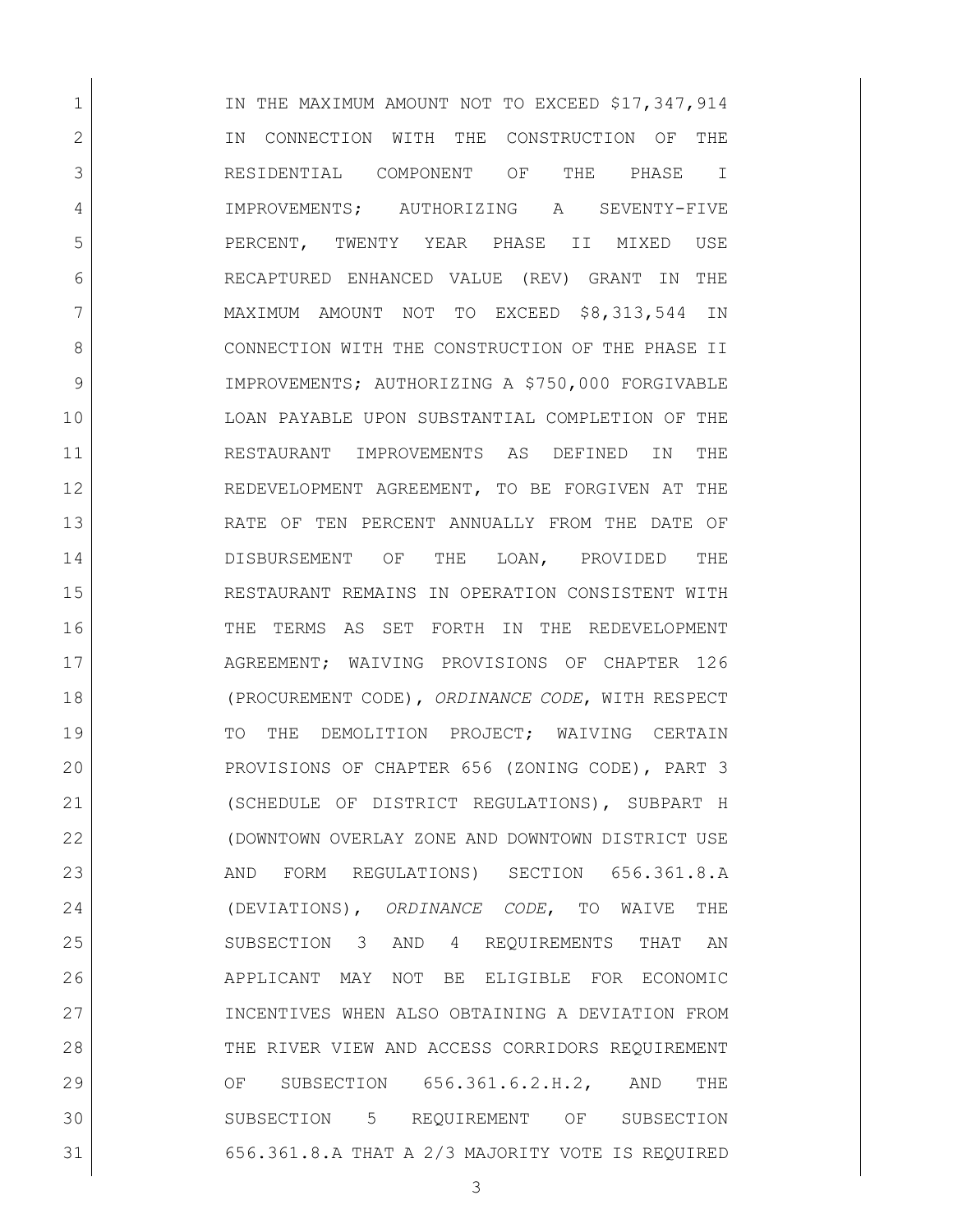1 IN THE MAXIMUM AMOUNT NOT TO EXCEED \$17,347,914 2 IN CONNECTION WITH THE CONSTRUCTION OF THE RESIDENTIAL COMPONENT OF THE PHASE I IMPROVEMENTS; AUTHORIZING A SEVENTY-FIVE PERCENT, TWENTY YEAR PHASE II MIXED USE RECAPTURED ENHANCED VALUE (REV) GRANT IN THE MAXIMUM AMOUNT NOT TO EXCEED \$8,313,544 IN 8 CONNECTION WITH THE CONSTRUCTION OF THE PHASE II 9 IMPROVEMENTS; AUTHORIZING A \$750,000 FORGIVABLE LOAN PAYABLE UPON SUBSTANTIAL COMPLETION OF THE RESTAURANT IMPROVEMENTS AS DEFINED IN THE REDEVELOPMENT AGREEMENT, TO BE FORGIVEN AT THE RATE OF TEN PERCENT ANNUALLY FROM THE DATE OF DISBURSEMENT OF THE LOAN, PROVIDED THE RESTAURANT REMAINS IN OPERATION CONSISTENT WITH THE TERMS AS SET FORTH IN THE REDEVELOPMENT 17 | AGREEMENT; WAIVING PROVISIONS OF CHAPTER 126 (PROCUREMENT CODE), *ORDINANCE CODE*, WITH RESPECT 19 TO THE DEMOLITION PROJECT; WAIVING CERTAIN PROVISIONS OF CHAPTER 656 (ZONING CODE), PART 3 (SCHEDULE OF DISTRICT REGULATIONS), SUBPART H (DOWNTOWN OVERLAY ZONE AND DOWNTOWN DISTRICT USE 23 AND FORM REGULATIONS) SECTION 656.361.8.A (DEVIATIONS), *ORDINANCE CODE*, TO WAIVE THE SUBSECTION 3 AND 4 REQUIREMENTS THAT AN APPLICANT MAY NOT BE ELIGIBLE FOR ECONOMIC INCENTIVES WHEN ALSO OBTAINING A DEVIATION FROM 28 THE RIVER VIEW AND ACCESS CORRIDORS REQUIREMENT 29 OF SUBSECTION 656.361.6.2.H.2, AND THE SUBSECTION 5 REQUIREMENT OF SUBSECTION 656.361.8.A THAT A 2/3 MAJORITY VOTE IS REQUIRED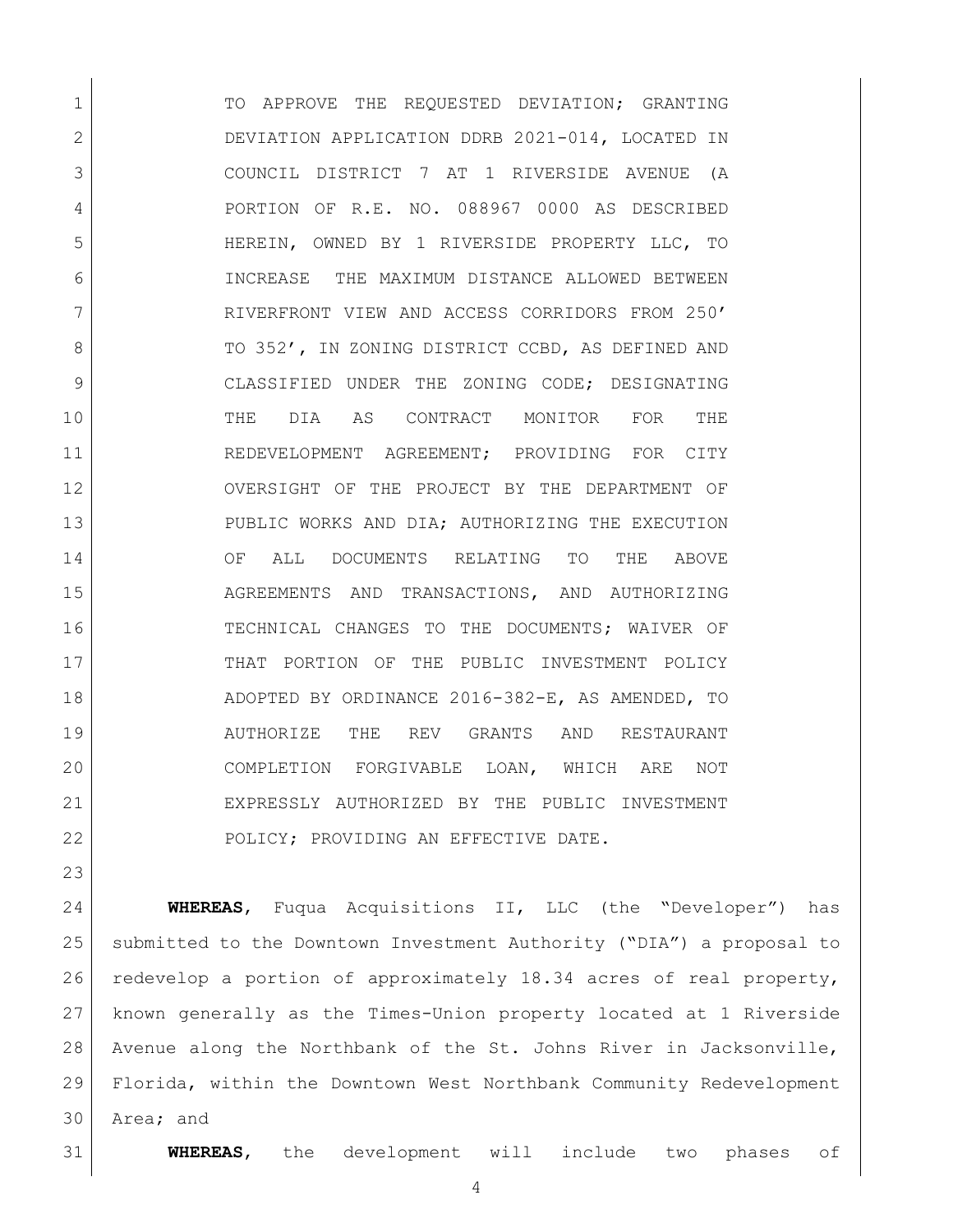1 TO APPROVE THE REQUESTED DEVIATION; GRANTING DEVIATION APPLICATION DDRB 2021-014, LOCATED IN COUNCIL DISTRICT 7 AT 1 RIVERSIDE AVENUE (A PORTION OF R.E. NO. 088967 0000 AS DESCRIBED HEREIN, OWNED BY 1 RIVERSIDE PROPERTY LLC, TO INCREASE THE MAXIMUM DISTANCE ALLOWED BETWEEN RIVERFRONT VIEW AND ACCESS CORRIDORS FROM 250' 8 TO 352', IN ZONING DISTRICT CCBD, AS DEFINED AND CLASSIFIED UNDER THE ZONING CODE; DESIGNATING THE DIA AS CONTRACT MONITOR FOR THE 11 REDEVELOPMENT AGREEMENT; PROVIDING FOR CITY OVERSIGHT OF THE PROJECT BY THE DEPARTMENT OF PUBLIC WORKS AND DIA; AUTHORIZING THE EXECUTION OF ALL DOCUMENTS RELATING TO THE ABOVE AGREEMENTS AND TRANSACTIONS, AND AUTHORIZING TECHNICAL CHANGES TO THE DOCUMENTS; WAIVER OF 17 THAT PORTION OF THE PUBLIC INVESTMENT POLICY ADOPTED BY ORDINANCE 2016-382-E, AS AMENDED, TO AUTHORIZE THE REV GRANTS AND RESTAURANT COMPLETION FORGIVABLE LOAN, WHICH ARE NOT EXPRESSLY AUTHORIZED BY THE PUBLIC INVESTMENT 22 POLICY; PROVIDING AN EFFECTIVE DATE.

 **WHEREAS**, Fuqua Acquisitions II, LLC (the "Developer") has submitted to the Downtown Investment Authority ("DIA") a proposal to redevelop a portion of approximately 18.34 acres of real property, known generally as the Times-Union property located at 1 Riverside Avenue along the Northbank of the St. Johns River in Jacksonville, Florida, within the Downtown West Northbank Community Redevelopment Area; and

**WHEREAS**, the development will include two phases of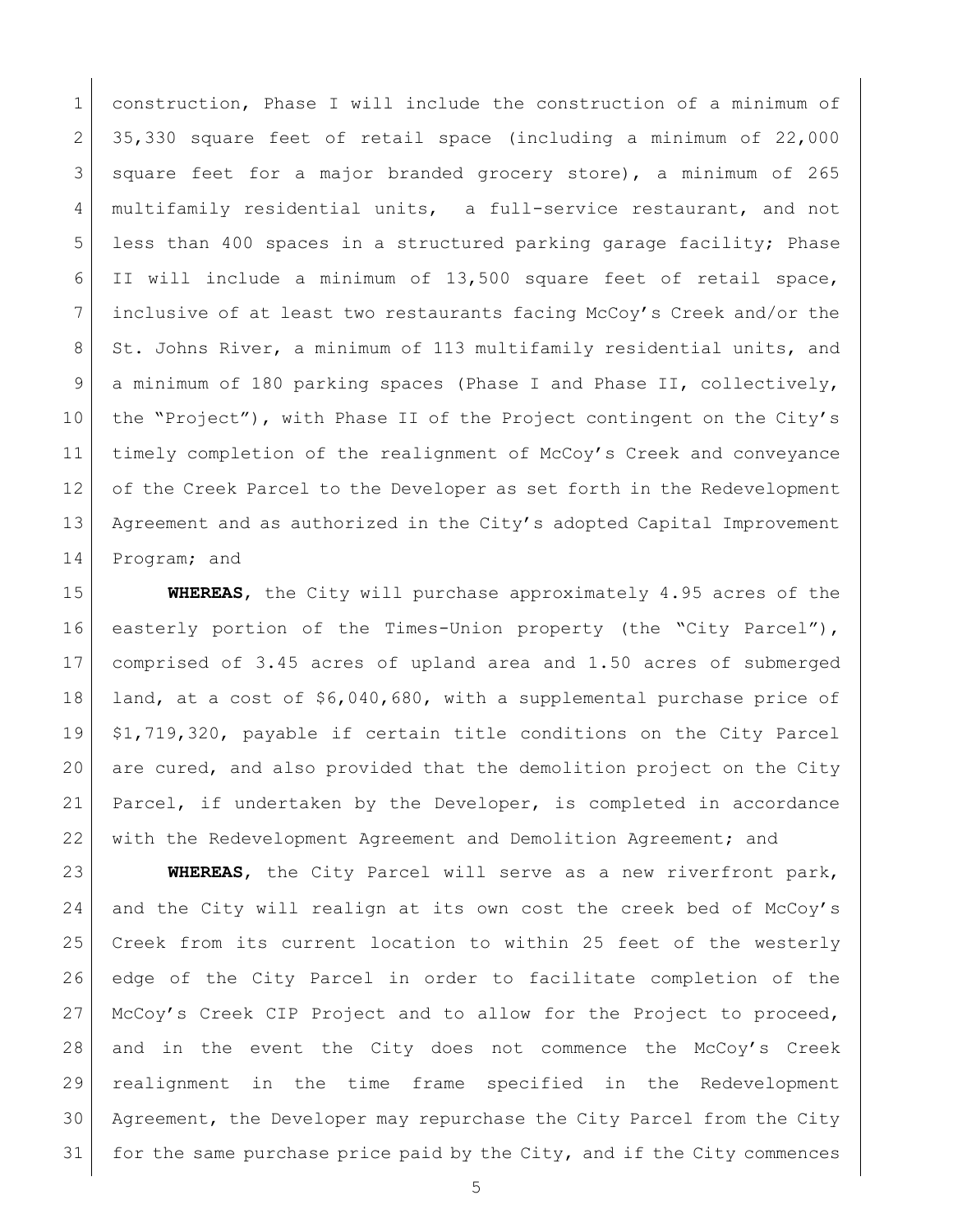1 construction, Phase I will include the construction of a minimum of 35,330 square feet of retail space (including a minimum of 22,000 square feet for a major branded grocery store), a minimum of 265 4 multifamily residential units, a full-service restaurant, and not less than 400 spaces in a structured parking garage facility; Phase II will include a minimum of 13,500 square feet of retail space, inclusive of at least two restaurants facing McCoy's Creek and/or the 8 St. Johns River, a minimum of 113 multifamily residential units, and 9 a minimum of 180 parking spaces (Phase I and Phase II, collectively, the "Project"), with Phase II of the Project contingent on the City's timely completion of the realignment of McCoy's Creek and conveyance 12 of the Creek Parcel to the Developer as set forth in the Redevelopment Agreement and as authorized in the City's adopted Capital Improvement Program; and

 **WHEREAS**, the City will purchase approximately 4.95 acres of the 16 easterly portion of the Times-Union property (the "City Parcel"), comprised of 3.45 acres of upland area and 1.50 acres of submerged land, at a cost of \$6,040,680, with a supplemental purchase price of \$1,719,320, payable if certain title conditions on the City Parcel are cured, and also provided that the demolition project on the City Parcel, if undertaken by the Developer, is completed in accordance with the Redevelopment Agreement and Demolition Agreement; and

 **WHEREAS**, the City Parcel will serve as a new riverfront park, and the City will realign at its own cost the creek bed of McCoy's Creek from its current location to within 25 feet of the westerly edge of the City Parcel in order to facilitate completion of the McCoy's Creek CIP Project and to allow for the Project to proceed, and in the event the City does not commence the McCoy's Creek realignment in the time frame specified in the Redevelopment Agreement, the Developer may repurchase the City Parcel from the City 31 for the same purchase price paid by the City, and if the City commences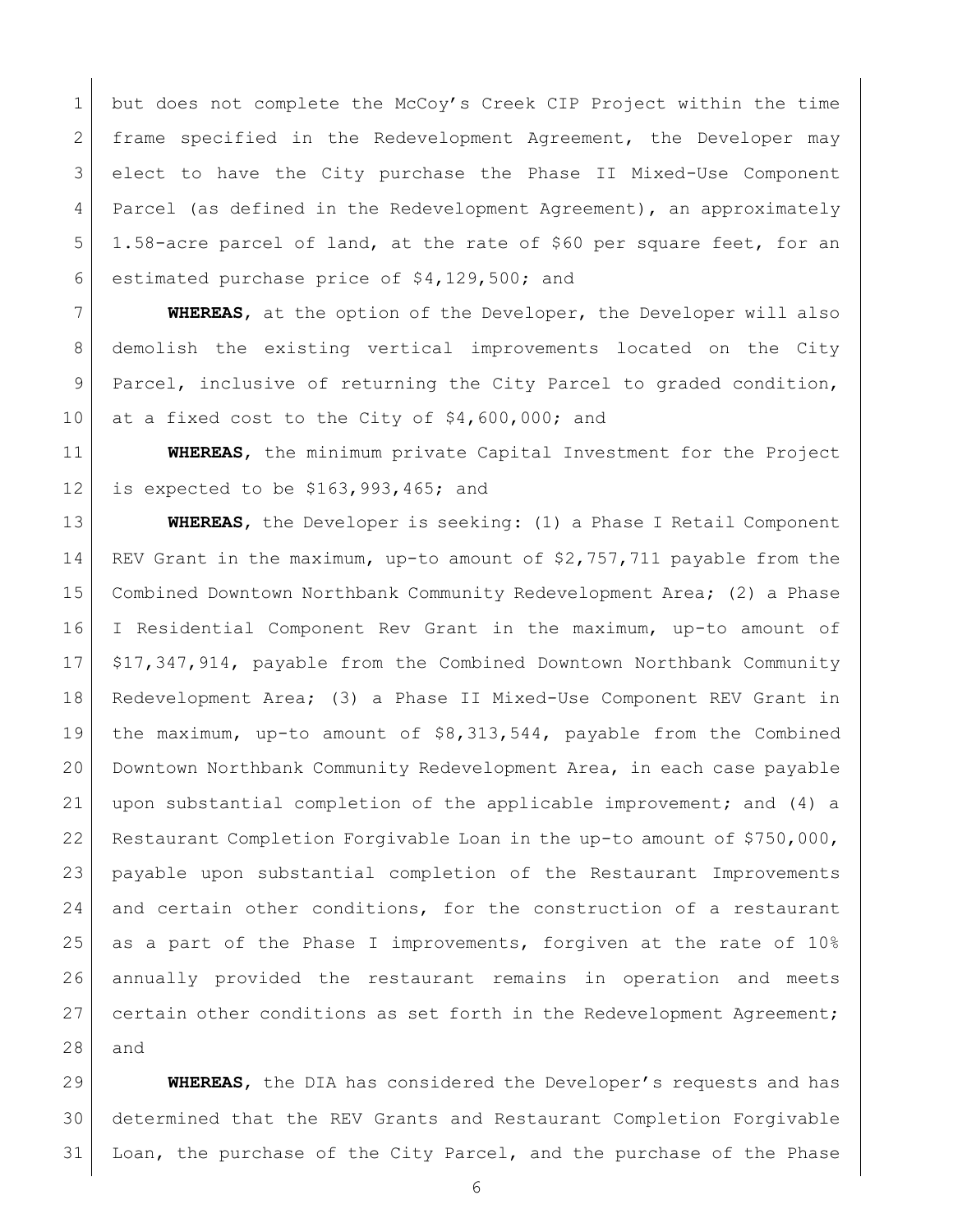1 but does not complete the McCoy's Creek CIP Project within the time frame specified in the Redevelopment Agreement, the Developer may elect to have the City purchase the Phase II Mixed-Use Component 4 | Parcel (as defined in the Redevelopment Agreement), an approximately 1.58-acre parcel of land, at the rate of \$60 per square feet, for an estimated purchase price of \$4,129,500; and

 **WHEREAS**, at the option of the Developer, the Developer will also demolish the existing vertical improvements located on the City Parcel, inclusive of returning the City Parcel to graded condition, 10 at a fixed cost to the City of  $$4,600,000$ ; and

 **WHEREAS**, the minimum private Capital Investment for the Project is expected to be \$163,993,465; and

 **WHEREAS**, the Developer is seeking: (1) a Phase I Retail Component REV Grant in the maximum, up-to amount of \$2,757,711 payable from the Combined Downtown Northbank Community Redevelopment Area; (2) a Phase I Residential Component Rev Grant in the maximum, up-to amount of \$17,347,914, payable from the Combined Downtown Northbank Community Redevelopment Area; (3) a Phase II Mixed-Use Component REV Grant in the maximum, up-to amount of \$8,313,544, payable from the Combined Downtown Northbank Community Redevelopment Area, in each case payable upon substantial completion of the applicable improvement; and (4) a Restaurant Completion Forgivable Loan in the up-to amount of \$750,000, payable upon substantial completion of the Restaurant Improvements 24 and certain other conditions, for the construction of a restaurant as a part of the Phase I improvements, forgiven at the rate of 10% annually provided the restaurant remains in operation and meets 27 certain other conditions as set forth in the Redevelopment Agreement; and

 **WHEREAS**, the DIA has considered the Developer's requests and has determined that the REV Grants and Restaurant Completion Forgivable Loan, the purchase of the City Parcel, and the purchase of the Phase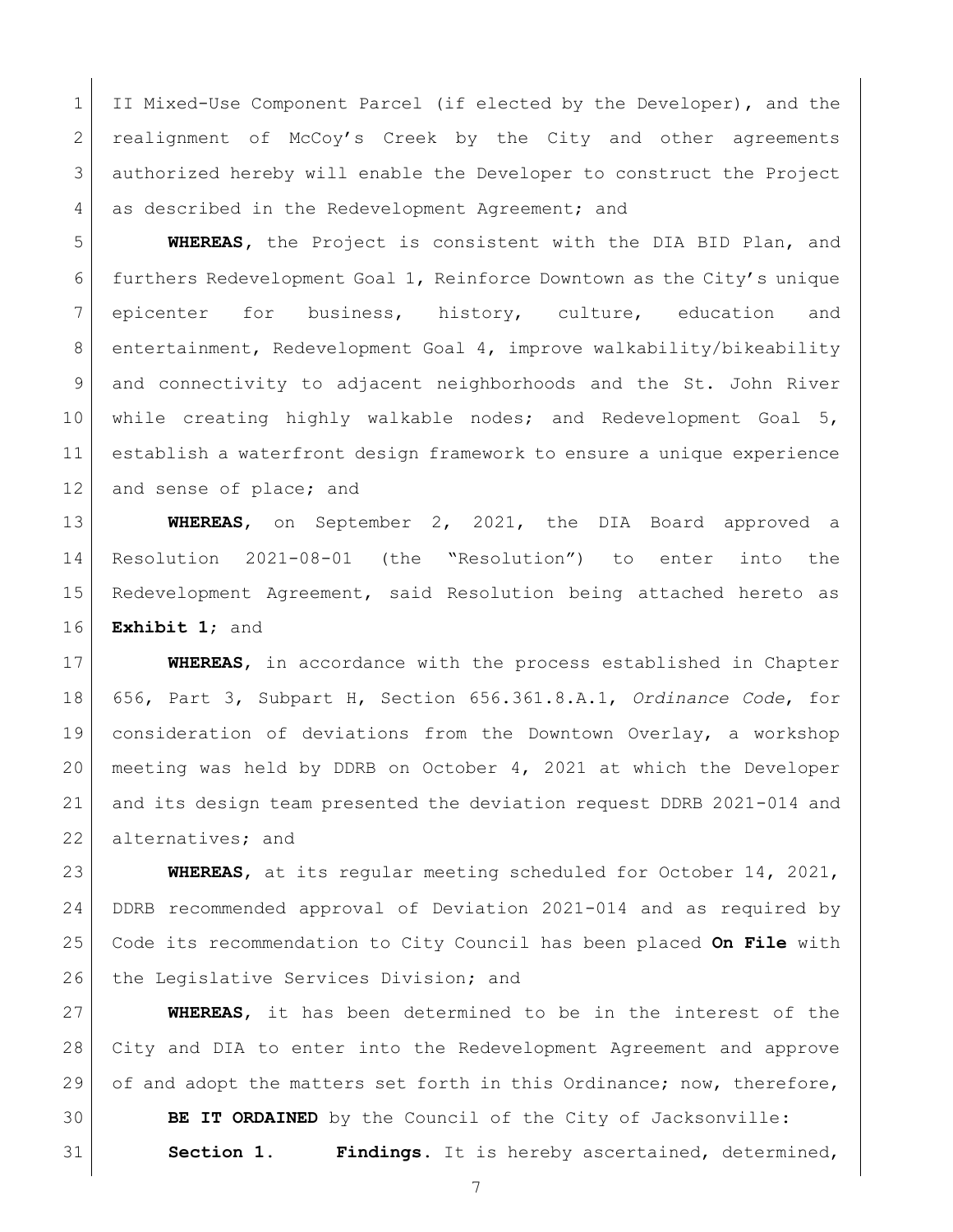II Mixed-Use Component Parcel (if elected by the Developer), and the 2 realignment of McCoy's Creek by the City and other agreements authorized hereby will enable the Developer to construct the Project 4 as described in the Redevelopment Agreement; and

 **WHEREAS,** the Project is consistent with the DIA BID Plan, and furthers Redevelopment Goal 1, Reinforce Downtown as the City's unique 7 epicenter for business, history, culture, education and 8 entertainment, Redevelopment Goal 4, improve walkability/bikeability and connectivity to adjacent neighborhoods and the St. John River while creating highly walkable nodes; and Redevelopment Goal 5, establish a waterfront design framework to ensure a unique experience 12 and sense of place; and

 **WHEREAS**, on September 2, 2021, the DIA Board approved a Resolution 2021-08-01 (the "Resolution") to enter into the Redevelopment Agreement, said Resolution being attached hereto as **Exhibit 1**; and

 **WHEREAS**, in accordance with the process established in Chapter 656, Part 3, Subpart H, Section 656.361.8.A.1, *Ordinance Code*, for consideration of deviations from the Downtown Overlay, a workshop meeting was held by DDRB on October 4, 2021 at which the Developer and its design team presented the deviation request DDRB 2021-014 and 22 alternatives; and

 **WHEREAS**, at its regular meeting scheduled for October 14, 2021, DDRB recommended approval of Deviation 2021-014 and as required by Code its recommendation to City Council has been placed **On File** with 26 the Legislative Services Division; and

 **WHEREAS**, it has been determined to be in the interest of the City and DIA to enter into the Redevelopment Agreement and approve 29 of and adopt the matters set forth in this Ordinance; now, therefore,

 **BE IT ORDAINED** by the Council of the City of Jacksonville: **Section 1. Findings.** It is hereby ascertained, determined,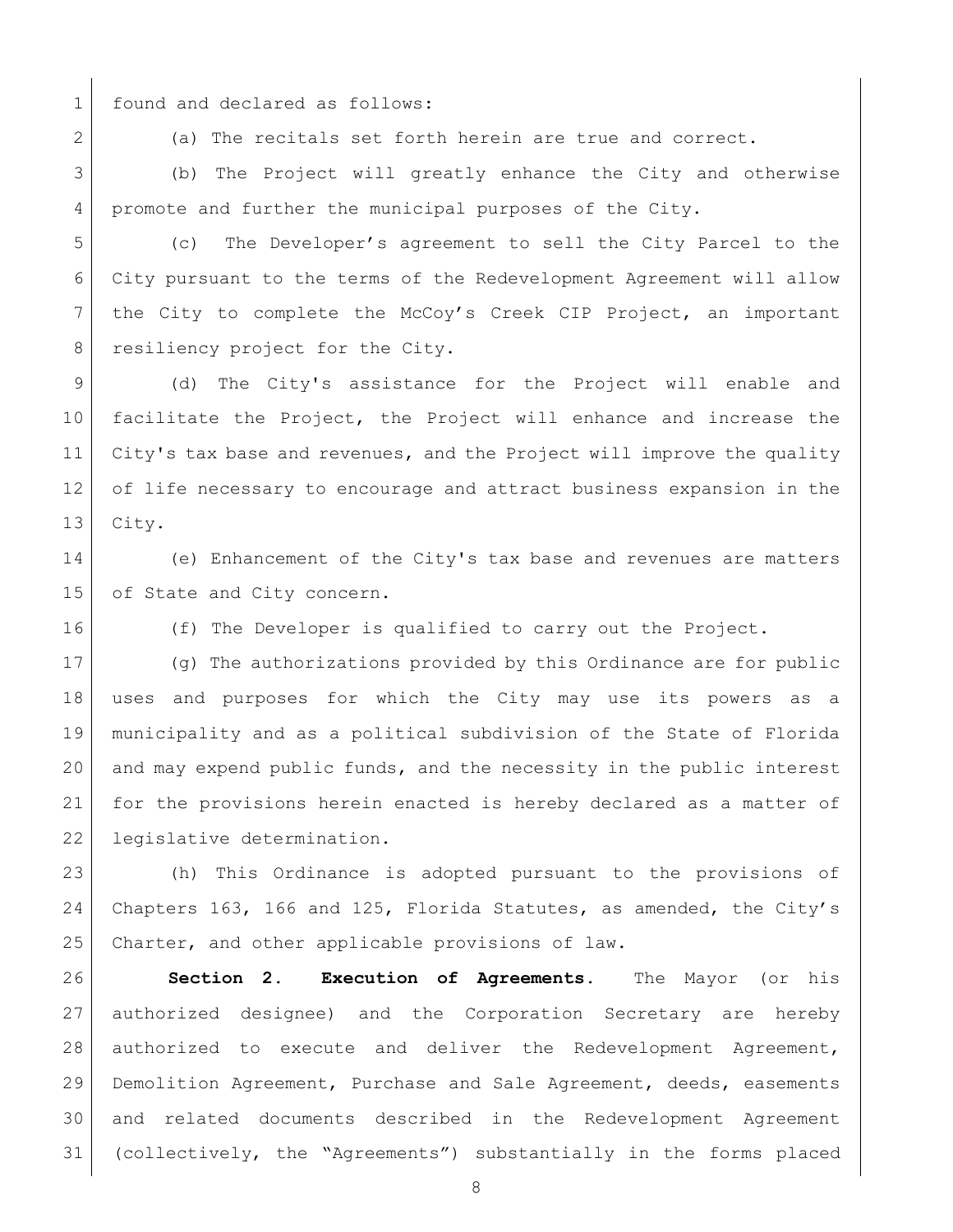1 found and declared as follows:

2 (a) The recitals set forth herein are true and correct.

 (b) The Project will greatly enhance the City and otherwise promote and further the municipal purposes of the City.

 (c) The Developer's agreement to sell the City Parcel to the City pursuant to the terms of the Redevelopment Agreement will allow the City to complete the McCoy's Creek CIP Project, an important 8 resiliency project for the City.

 (d) The City's assistance for the Project will enable and facilitate the Project, the Project will enhance and increase the 11 City's tax base and revenues, and the Project will improve the quality of life necessary to encourage and attract business expansion in the City.

 (e) Enhancement of the City's tax base and revenues are matters 15 of State and City concern.

(f) The Developer is qualified to carry out the Project.

 (g) The authorizations provided by this Ordinance are for public uses and purposes for which the City may use its powers as a municipality and as a political subdivision of the State of Florida and may expend public funds, and the necessity in the public interest for the provisions herein enacted is hereby declared as a matter of 22 legislative determination.

 (h) This Ordinance is adopted pursuant to the provisions of Chapters 163, 166 and 125, Florida Statutes, as amended, the City's 25 Charter, and other applicable provisions of law.

 **Section 2. Execution of Agreements.** The Mayor (or his authorized designee) and the Corporation Secretary are hereby authorized to execute and deliver the Redevelopment Agreement, Demolition Agreement, Purchase and Sale Agreement, deeds, easements and related documents described in the Redevelopment Agreement (collectively, the "Agreements") substantially in the forms placed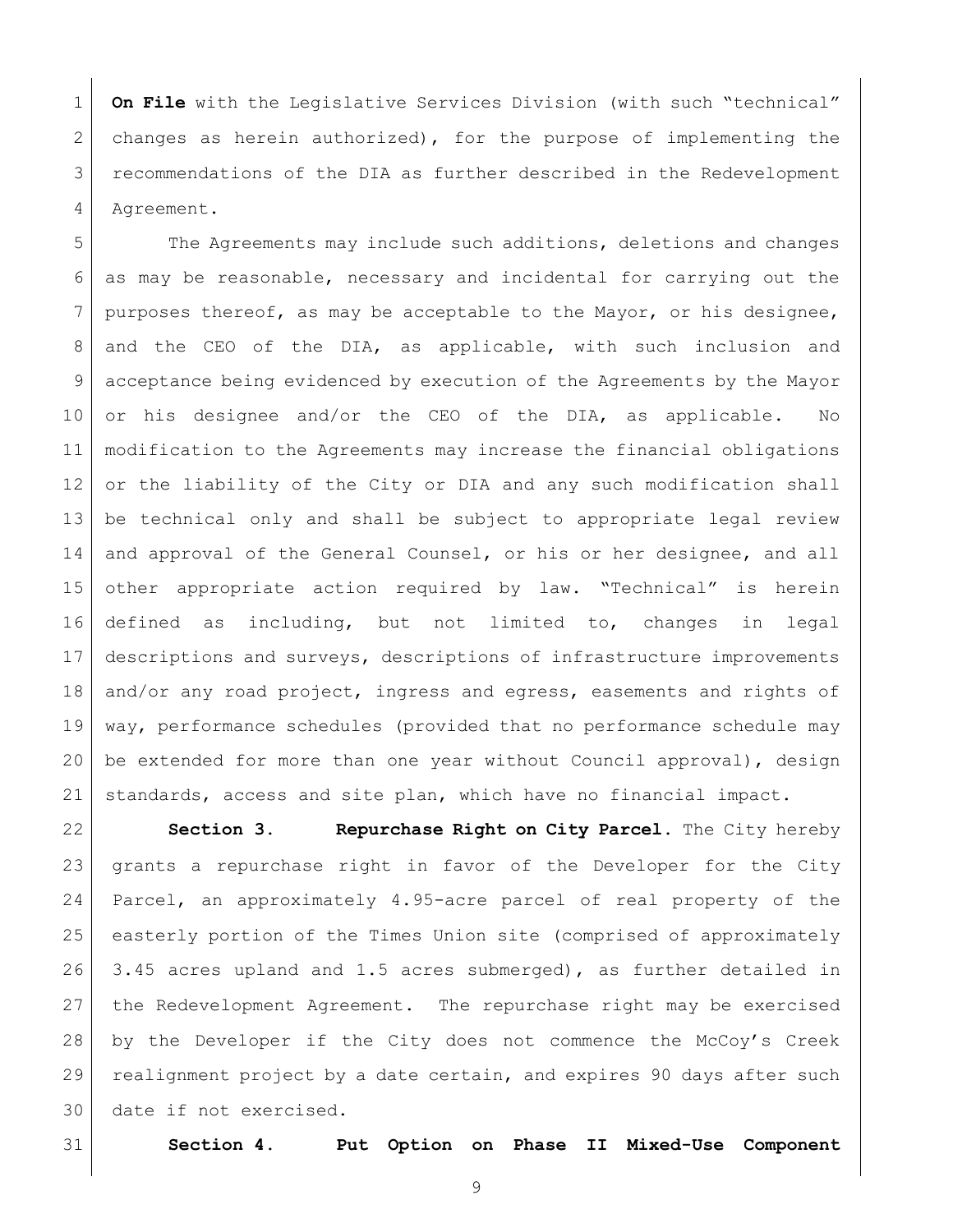**On File** with the Legislative Services Division (with such "technical" 2 changes as herein authorized), for the purpose of implementing the recommendations of the DIA as further described in the Redevelopment Agreement.

5 The Agreements may include such additions, deletions and changes as may be reasonable, necessary and incidental for carrying out the 7 purposes thereof, as may be acceptable to the Mayor, or his designee, 8 and the CEO of the DIA, as applicable, with such inclusion and acceptance being evidenced by execution of the Agreements by the Mayor or his designee and/or the CEO of the DIA, as applicable. No modification to the Agreements may increase the financial obligations or the liability of the City or DIA and any such modification shall be technical only and shall be subject to appropriate legal review 14 and approval of the General Counsel, or his or her designee, and all other appropriate action required by law. "Technical" is herein defined as including, but not limited to, changes in legal descriptions and surveys, descriptions of infrastructure improvements 18 and/or any road project, ingress and egress, easements and rights of way, performance schedules (provided that no performance schedule may be extended for more than one year without Council approval), design standards, access and site plan, which have no financial impact.

 **Section 3. Repurchase Right on City Parcel.** The City hereby grants a repurchase right in favor of the Developer for the City Parcel, an approximately 4.95-acre parcel of real property of the easterly portion of the Times Union site (comprised of approximately 3.45 acres upland and 1.5 acres submerged), as further detailed in the Redevelopment Agreement. The repurchase right may be exercised by the Developer if the City does not commence the McCoy's Creek 29 realignment project by a date certain, and expires 90 days after such date if not exercised.

**Section 4. Put Option on Phase II Mixed-Use Component**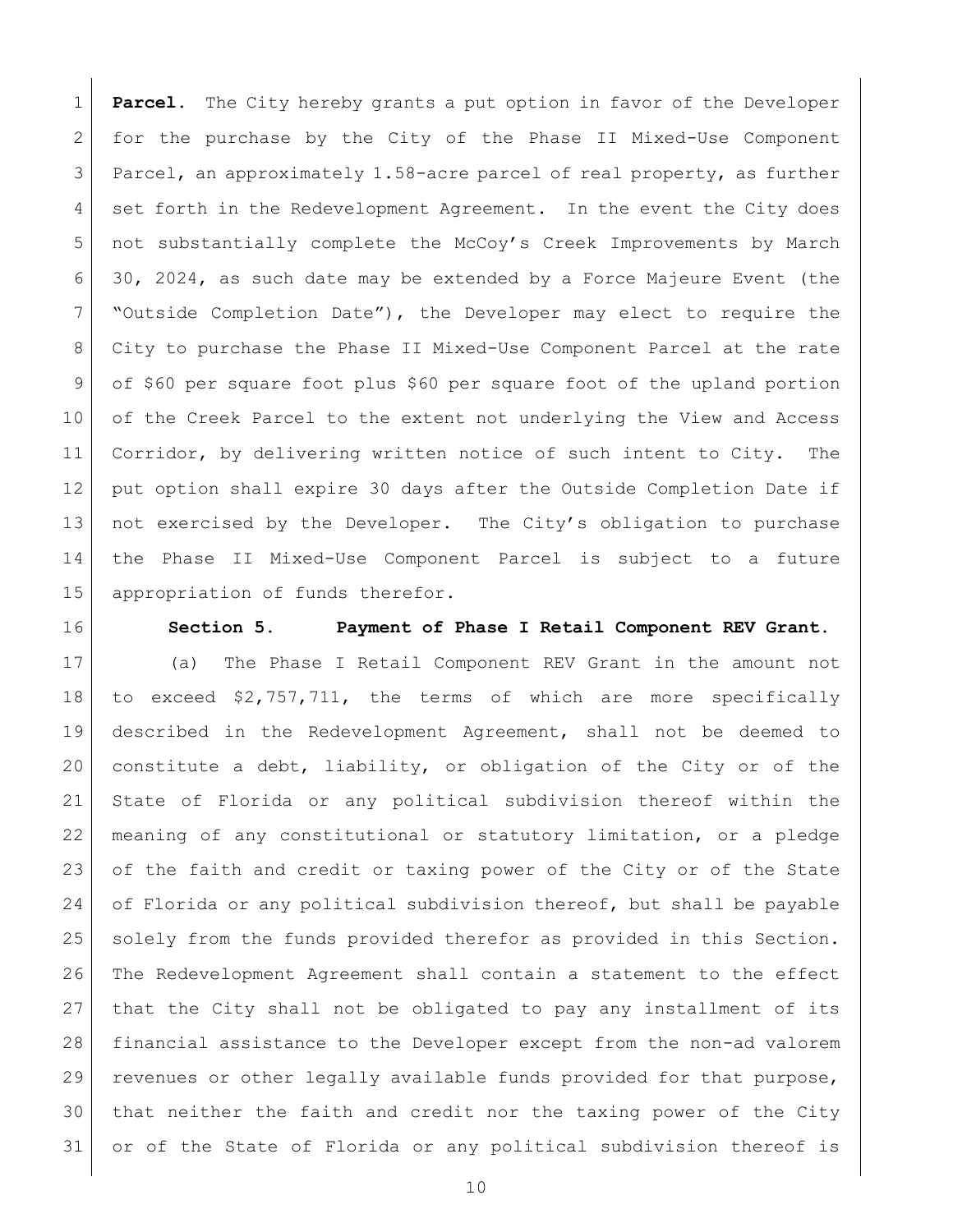**Parcel.** The City hereby grants a put option in favor of the Developer for the purchase by the City of the Phase II Mixed-Use Component Parcel, an approximately 1.58-acre parcel of real property, as further 4 set forth in the Redevelopment Agreement. In the event the City does not substantially complete the McCoy's Creek Improvements by March 30, 2024, as such date may be extended by a Force Majeure Event (the "Outside Completion Date"), the Developer may elect to require the City to purchase the Phase II Mixed-Use Component Parcel at the rate of \$60 per square foot plus \$60 per square foot of the upland portion 10 of the Creek Parcel to the extent not underlying the View and Access 11 Corridor, by delivering written notice of such intent to City. The 12 | put option shall expire 30 days after the Outside Completion Date if 13 not exercised by the Developer. The City's obligation to purchase the Phase II Mixed-Use Component Parcel is subject to a future appropriation of funds therefor.

## **Section 5. Payment of Phase I Retail Component REV Grant.**

 (a) The Phase I Retail Component REV Grant in the amount not to exceed \$2,757,711, the terms of which are more specifically described in the Redevelopment Agreement, shall not be deemed to 20 constitute a debt, liability, or obligation of the City or of the State of Florida or any political subdivision thereof within the meaning of any constitutional or statutory limitation, or a pledge of the faith and credit or taxing power of the City or of the State of Florida or any political subdivision thereof, but shall be payable 25 solely from the funds provided therefor as provided in this Section. The Redevelopment Agreement shall contain a statement to the effect that the City shall not be obligated to pay any installment of its financial assistance to the Developer except from the non-ad valorem 29 revenues or other legally available funds provided for that purpose, that neither the faith and credit nor the taxing power of the City or of the State of Florida or any political subdivision thereof is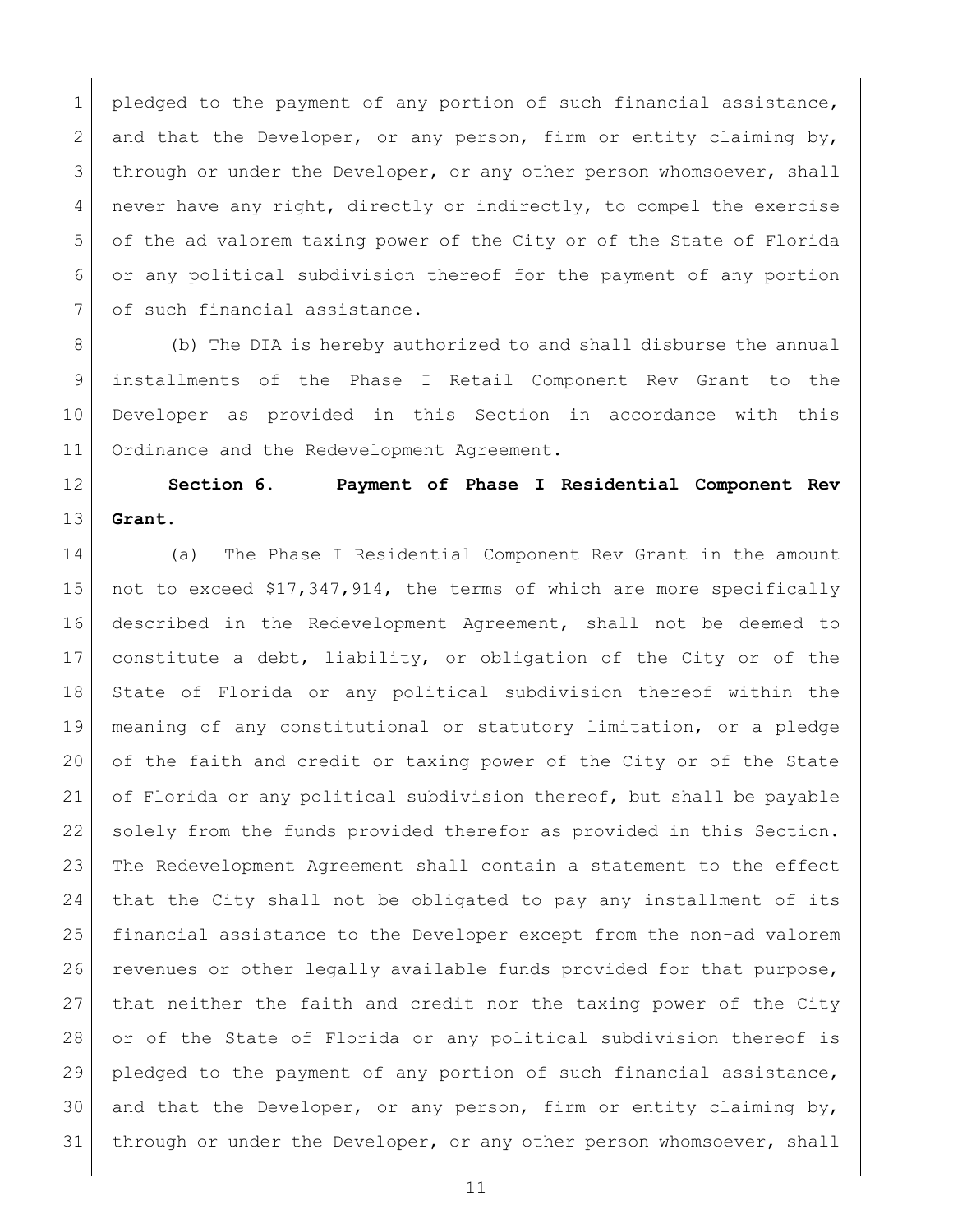1 pledged to the payment of any portion of such financial assistance, 2 and that the Developer, or any person, firm or entity claiming by, 3 through or under the Developer, or any other person whomsoever, shall never have any right, directly or indirectly, to compel the exercise of the ad valorem taxing power of the City or of the State of Florida or any political subdivision thereof for the payment of any portion 7 of such financial assistance.

8 (b) The DIA is hereby authorized to and shall disburse the annual installments of the Phase I Retail Component Rev Grant to the Developer as provided in this Section in accordance with this 11 Ordinance and the Redevelopment Agreement.

 **Section 6. Payment of Phase I Residential Component Rev Grant.**

14 (a) The Phase I Residential Component Rev Grant in the amount not to exceed \$17,347,914, the terms of which are more specifically described in the Redevelopment Agreement, shall not be deemed to constitute a debt, liability, or obligation of the City or of the State of Florida or any political subdivision thereof within the meaning of any constitutional or statutory limitation, or a pledge of the faith and credit or taxing power of the City or of the State of Florida or any political subdivision thereof, but shall be payable solely from the funds provided therefor as provided in this Section. The Redevelopment Agreement shall contain a statement to the effect that the City shall not be obligated to pay any installment of its financial assistance to the Developer except from the non-ad valorem 26 revenues or other legally available funds provided for that purpose, that neither the faith and credit nor the taxing power of the City or of the State of Florida or any political subdivision thereof is pledged to the payment of any portion of such financial assistance, 30 and that the Developer, or any person, firm or entity claiming by, 31 through or under the Developer, or any other person whomsoever, shall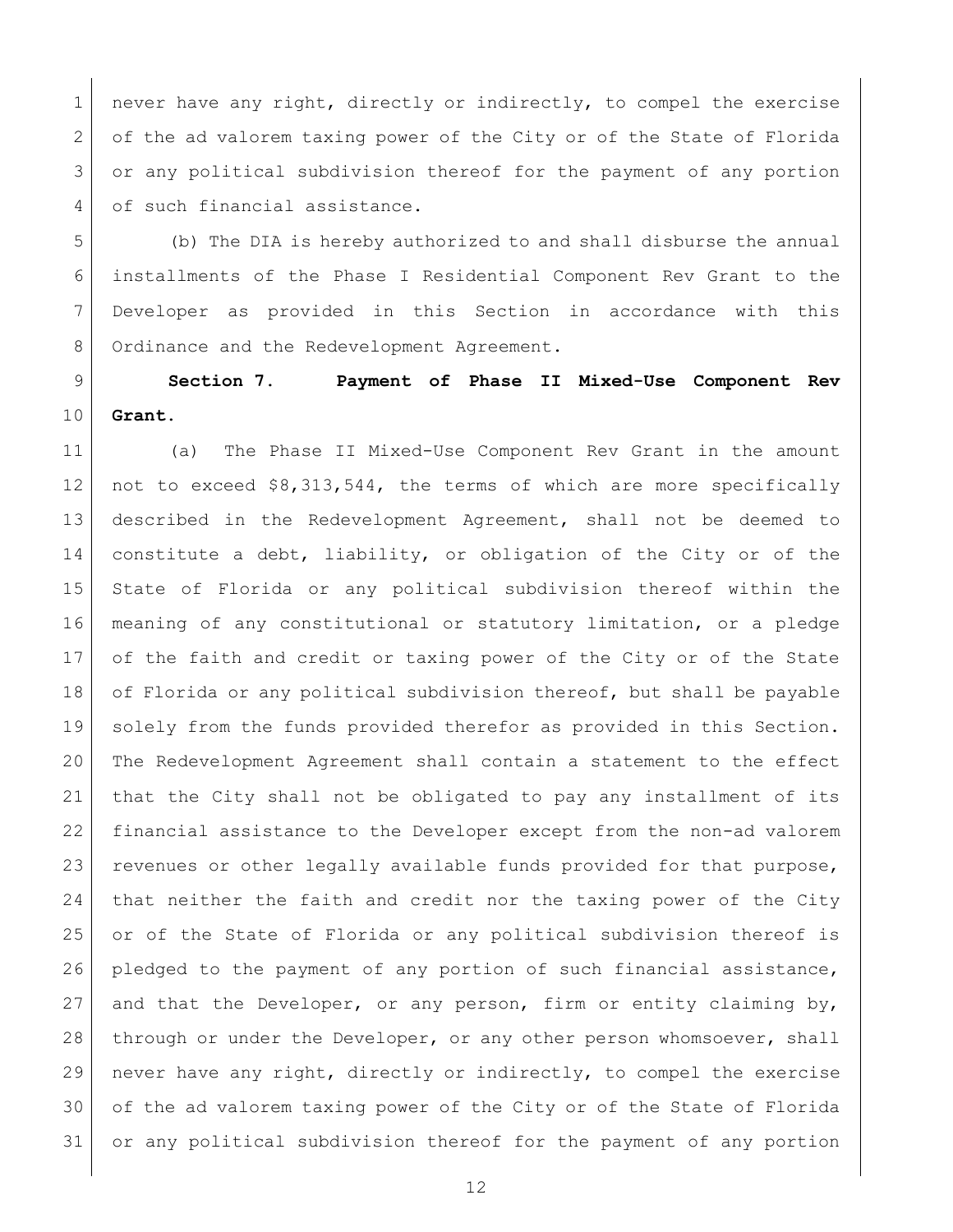1 never have any right, directly or indirectly, to compel the exercise of the ad valorem taxing power of the City or of the State of Florida 3 or any political subdivision thereof for the payment of any portion 4 of such financial assistance.

 (b) The DIA is hereby authorized to and shall disburse the annual installments of the Phase I Residential Component Rev Grant to the Developer as provided in this Section in accordance with this 8 Ordinance and the Redevelopment Agreement.

 **Section 7. Payment of Phase II Mixed-Use Component Rev Grant.**

 (a) The Phase II Mixed-Use Component Rev Grant in the amount not to exceed \$8,313,544, the terms of which are more specifically described in the Redevelopment Agreement, shall not be deemed to constitute a debt, liability, or obligation of the City or of the State of Florida or any political subdivision thereof within the meaning of any constitutional or statutory limitation, or a pledge of the faith and credit or taxing power of the City or of the State 18 of Florida or any political subdivision thereof, but shall be payable solely from the funds provided therefor as provided in this Section. The Redevelopment Agreement shall contain a statement to the effect that the City shall not be obligated to pay any installment of its financial assistance to the Developer except from the non-ad valorem 23 revenues or other legally available funds provided for that purpose, that neither the faith and credit nor the taxing power of the City 25 or of the State of Florida or any political subdivision thereof is 26 pledged to the payment of any portion of such financial assistance, and that the Developer, or any person, firm or entity claiming by, 28 through or under the Developer, or any other person whomsoever, shall never have any right, directly or indirectly, to compel the exercise of the ad valorem taxing power of the City or of the State of Florida or any political subdivision thereof for the payment of any portion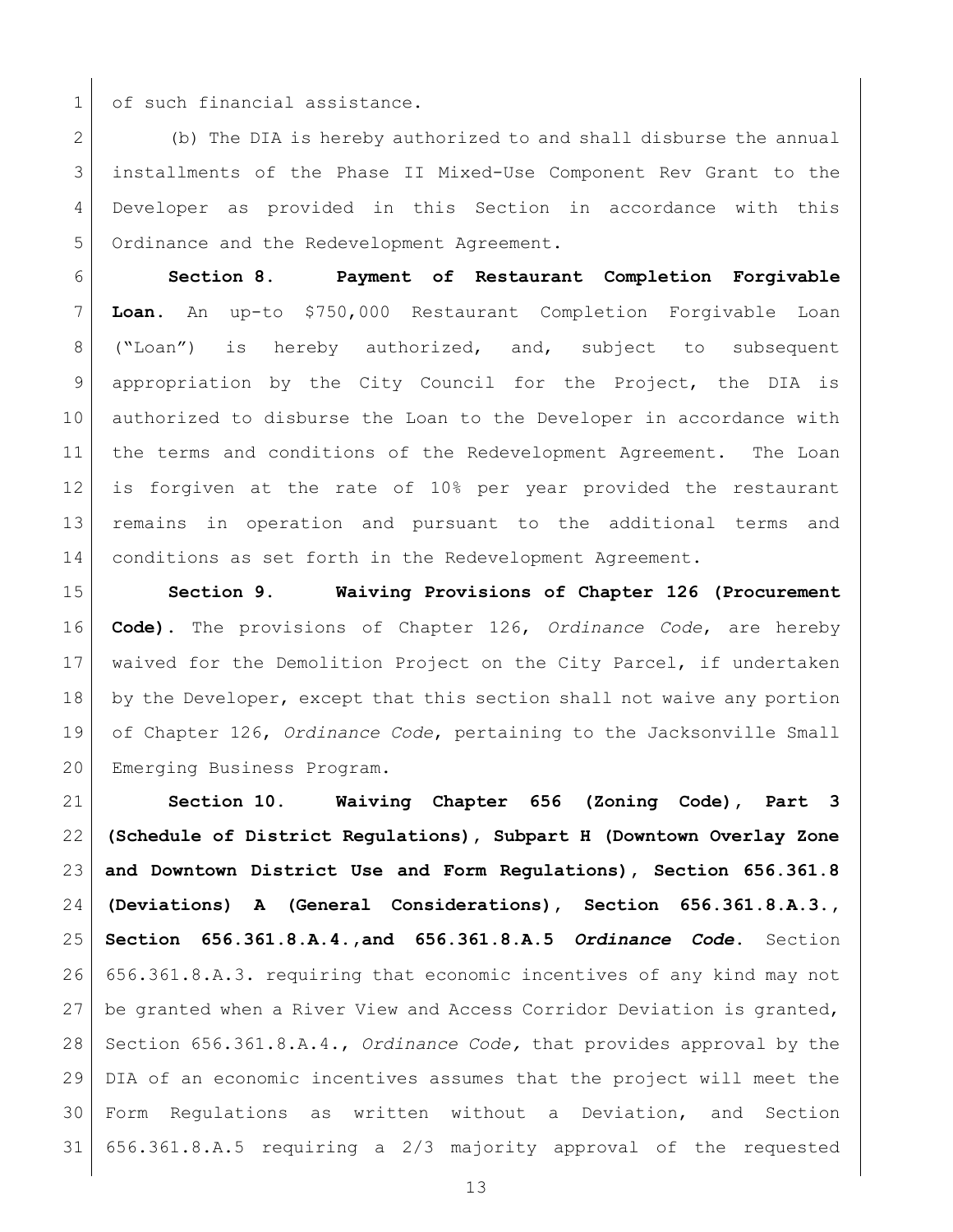1 of such financial assistance.

 (b) The DIA is hereby authorized to and shall disburse the annual installments of the Phase II Mixed-Use Component Rev Grant to the Developer as provided in this Section in accordance with this Ordinance and the Redevelopment Agreement.

 **Section 8. Payment of Restaurant Completion Forgivable Loan.** An up-to \$750,000 Restaurant Completion Forgivable Loan ("Loan") is hereby authorized, and, subject to subsequent appropriation by the City Council for the Project, the DIA is authorized to disburse the Loan to the Developer in accordance with 11 | the terms and conditions of the Redevelopment Agreement. The Loan is forgiven at the rate of 10% per year provided the restaurant remains in operation and pursuant to the additional terms and conditions as set forth in the Redevelopment Agreement.

 **Section 9. Waiving Provisions of Chapter 126 (Procurement Code).** The provisions of Chapter 126, *Ordinance Code*, are hereby waived for the Demolition Project on the City Parcel, if undertaken 18 by the Developer, except that this section shall not waive any portion of Chapter 126, *Ordinance Code*, pertaining to the Jacksonville Small Emerging Business Program.

 **Section 10. Waiving Chapter 656 (Zoning Code), Part 3 (Schedule of District Regulations), Subpart H (Downtown Overlay Zone and Downtown District Use and Form Regulations), Section 656.361.8 (Deviations) A (General Considerations), Section 656.361.8.A.3., Section 656.361.8.A.4.,and 656.361.8.A.5** *Ordinance Code***.** Section 656.361.8.A.3. requiring that economic incentives of any kind may not be granted when a River View and Access Corridor Deviation is granted, Section 656.361.8.A.4., *Ordinance Code,* that provides approval by the DIA of an economic incentives assumes that the project will meet the Form Regulations as written without a Deviation, and Section 656.361.8.A.5 requiring a 2/3 majority approval of the requested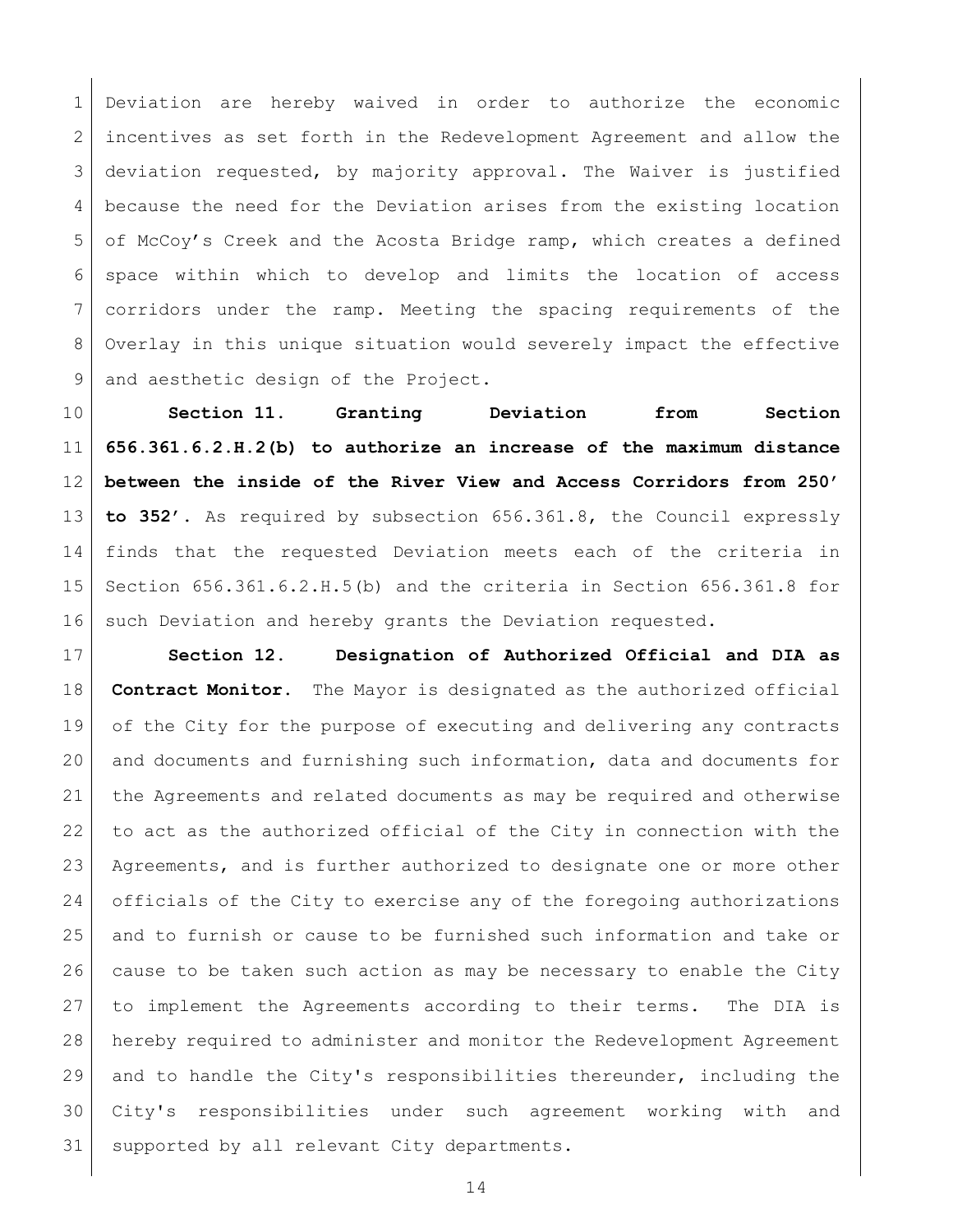Deviation are hereby waived in order to authorize the economic 2 incentives as set forth in the Redevelopment Agreement and allow the deviation requested, by majority approval. The Waiver is justified because the need for the Deviation arises from the existing location of McCoy's Creek and the Acosta Bridge ramp, which creates a defined space within which to develop and limits the location of access corridors under the ramp. Meeting the spacing requirements of the Overlay in this unique situation would severely impact the effective 9 and aesthetic design of the Project.

 **Section 11. Granting Deviation from Section 656.361.6.2.H.2(b) to authorize an increase of the maximum distance between the inside of the River View and Access Corridors from 250' to 352'.** As required by subsection 656.361.8, the Council expressly finds that the requested Deviation meets each of the criteria in Section 656.361.6.2.H.5(b) and the criteria in Section 656.361.8 for 16 such Deviation and hereby grants the Deviation requested.

 **Section 12. Designation of Authorized Official and DIA as Contract Monitor.** The Mayor is designated as the authorized official of the City for the purpose of executing and delivering any contracts and documents and furnishing such information, data and documents for the Agreements and related documents as may be required and otherwise to act as the authorized official of the City in connection with the Agreements, and is further authorized to designate one or more other 24 officials of the City to exercise any of the foregoing authorizations and to furnish or cause to be furnished such information and take or cause to be taken such action as may be necessary to enable the City to implement the Agreements according to their terms. The DIA is hereby required to administer and monitor the Redevelopment Agreement 29 and to handle the City's responsibilities thereunder, including the City's responsibilities under such agreement working with and supported by all relevant City departments.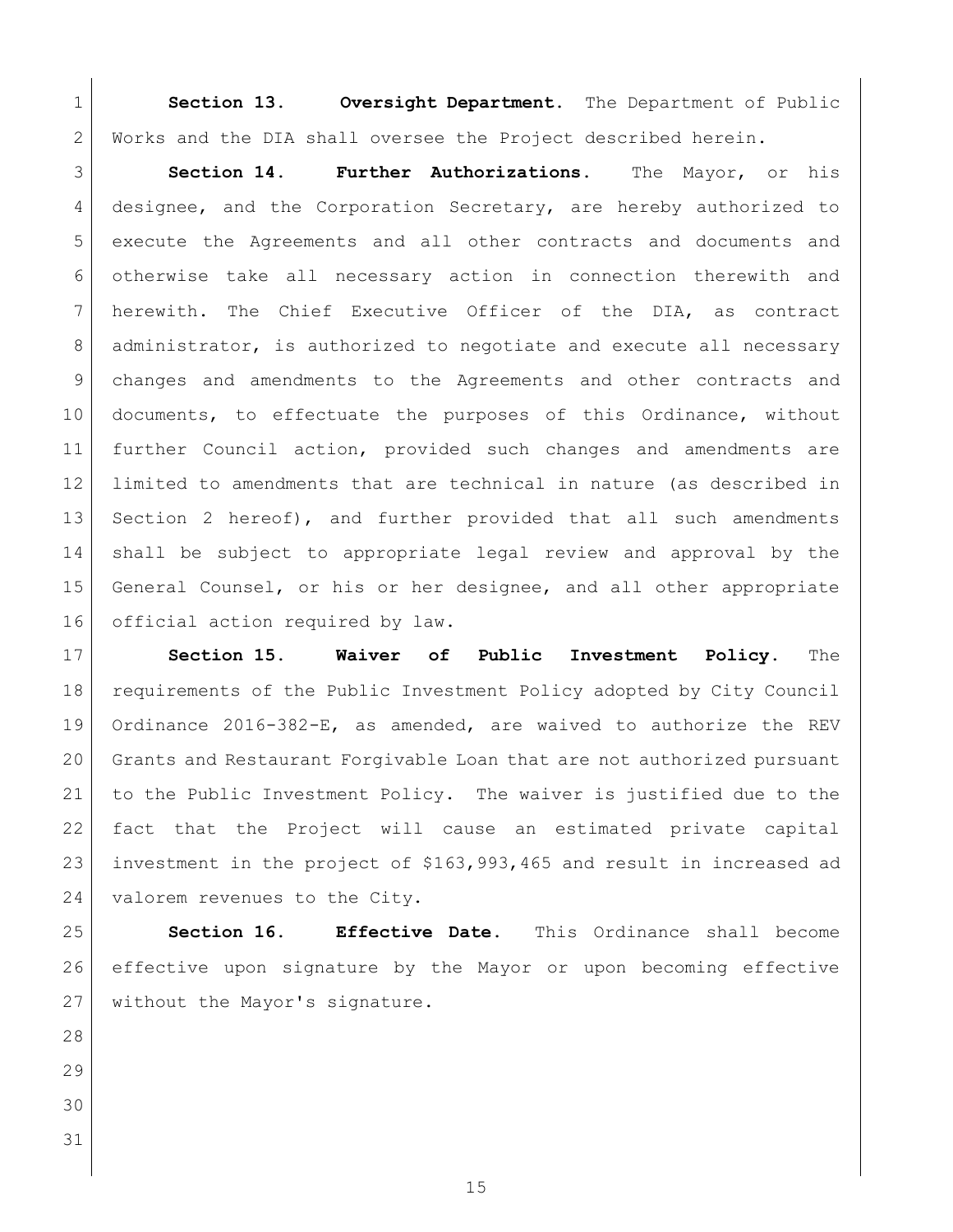**Section 13. Oversight Department.** The Department of Public Works and the DIA shall oversee the Project described herein.

 **Section 14. Further Authorizations.** The Mayor, or his 4 designee, and the Corporation Secretary, are hereby authorized to execute the Agreements and all other contracts and documents and otherwise take all necessary action in connection therewith and herewith. The Chief Executive Officer of the DIA, as contract 8 | administrator, is authorized to negotiate and execute all necessary changes and amendments to the Agreements and other contracts and documents, to effectuate the purposes of this Ordinance, without further Council action, provided such changes and amendments are limited to amendments that are technical in nature (as described in Section 2 hereof), and further provided that all such amendments shall be subject to appropriate legal review and approval by the General Counsel, or his or her designee, and all other appropriate 16 official action required by law.

**Section 15. Waiver of Public Investment Policy.** The requirements of the Public Investment Policy adopted by City Council Ordinance 2016-382-E, as amended, are waived to authorize the REV Grants and Restaurant Forgivable Loan that are not authorized pursuant to the Public Investment Policy. The waiver is justified due to the fact that the Project will cause an estimated private capital investment in the project of \$163,993,465 and result in increased ad 24 valorem revenues to the City.

 **Section 16. Effective Date.** This Ordinance shall become effective upon signature by the Mayor or upon becoming effective without the Mayor's signature.